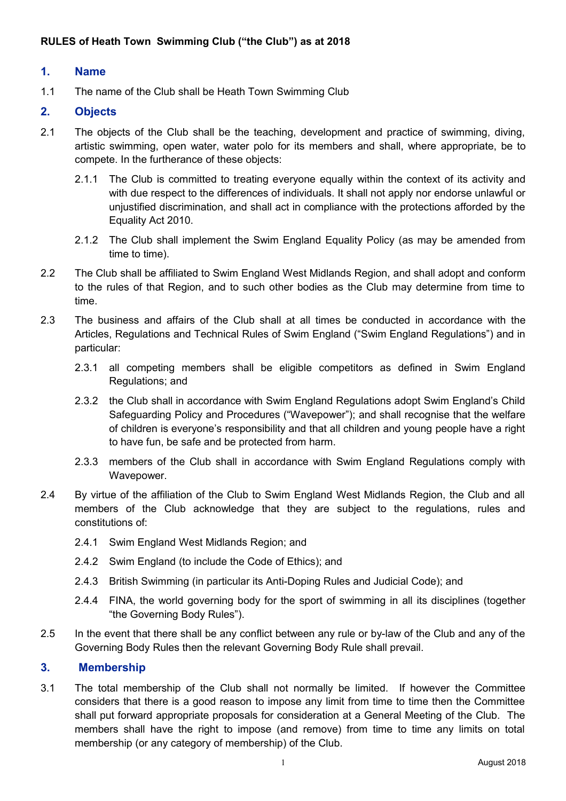#### **1. Name**

1.1 The name of the Club shall be Heath Town Swimming Club

### **2. Objects**

- 2.1 The objects of the Club shall be the teaching, development and practice of swimming, diving, artistic swimming, open water, water polo for its members and shall, where appropriate, be to compete. In the furtherance of these objects:
	- 2.1.1 The Club is committed to treating everyone equally within the context of its activity and with due respect to the differences of individuals. It shall not apply nor endorse unlawful or unjustified discrimination, and shall act in compliance with the protections afforded by the Equality Act 2010.
	- 2.1.2 The Club shall implement the Swim England Equality Policy (as may be amended from time to time).
- 2.2 The Club shall be affiliated to Swim England West Midlands Region, and shall adopt and conform to the rules of that Region, and to such other bodies as the Club may determine from time to time.
- 2.3 The business and affairs of the Club shall at all times be conducted in accordance with the Articles, Regulations and Technical Rules of Swim England ("Swim England Regulations") and in particular:
	- 2.3.1 all competing members shall be eligible competitors as defined in Swim England Regulations; and
	- 2.3.2 the Club shall in accordance with Swim England Regulations adopt Swim England's Child Safeguarding Policy and Procedures ("Wavepower"); and shall recognise that the welfare of children is everyone's responsibility and that all children and young people have a right to have fun, be safe and be protected from harm.
	- 2.3.3 members of the Club shall in accordance with Swim England Regulations comply with Wavepower.
- 2.4 By virtue of the affiliation of the Club to Swim England West Midlands Region, the Club and all members of the Club acknowledge that they are subject to the regulations, rules and constitutions of:
	- 2.4.1 Swim England West Midlands Region; and
	- 2.4.2 Swim England (to include the Code of Ethics); and
	- 2.4.3 British Swimming (in particular its Anti-Doping Rules and Judicial Code); and
	- 2.4.4 FINA, the world governing body for the sport of swimming in all its disciplines (together "the Governing Body Rules").
- 2.5 In the event that there shall be any conflict between any rule or by-law of the Club and any of the Governing Body Rules then the relevant Governing Body Rule shall prevail.

#### **3. Membership**

3.1 The total membership of the Club shall not normally be limited. If however the Committee considers that there is a good reason to impose any limit from time to time then the Committee shall put forward appropriate proposals for consideration at a General Meeting of the Club. The members shall have the right to impose (and remove) from time to time any limits on total membership (or any category of membership) of the Club.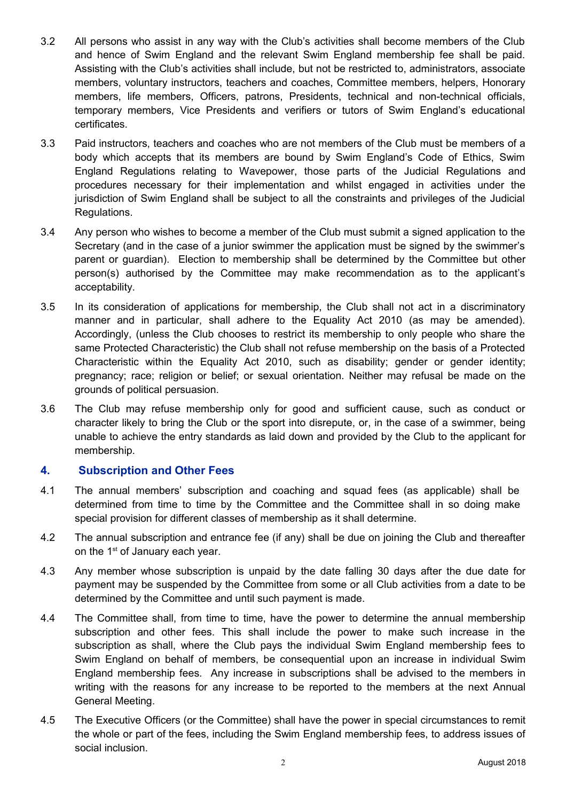- 3.2 All persons who assist in any way with the Club's activities shall become members of the Club and hence of Swim England and the relevant Swim England membership fee shall be paid. Assisting with the Club's activities shall include, but not be restricted to, administrators, associate members, voluntary instructors, teachers and coaches, Committee members, helpers, Honorary members, life members, Officers, patrons, Presidents, technical and non-technical officials, temporary members, Vice Presidents and verifiers or tutors of Swim England's educational certificates.
- 3.3 Paid instructors, teachers and coaches who are not members of the Club must be members of a body which accepts that its members are bound by Swim England's Code of Ethics, Swim England Regulations relating to Wavepower, those parts of the Judicial Regulations and procedures necessary for their implementation and whilst engaged in activities under the jurisdiction of Swim England shall be subject to all the constraints and privileges of the Judicial Regulations.
- 3.4 Any person who wishes to become a member of the Club must submit a signed application to the Secretary (and in the case of a junior swimmer the application must be signed by the swimmer's parent or guardian). Election to membership shall be determined by the Committee but other person(s) authorised by the Committee may make recommendation as to the applicant's acceptability.
- 3.5 In its consideration of applications for membership, the Club shall not act in a discriminatory manner and in particular, shall adhere to the Equality Act 2010 (as may be amended). Accordingly, (unless the Club chooses to restrict its membership to only people who share the same Protected Characteristic) the Club shall not refuse membership on the basis of a Protected Characteristic within the Equality Act 2010, such as disability; gender or gender identity; pregnancy; race; religion or belief; or sexual orientation. Neither may refusal be made on the grounds of political persuasion.
- 3.6 The Club may refuse membership only for good and sufficient cause, such as conduct or character likely to bring the Club or the sport into disrepute, or, in the case of a swimmer, being unable to achieve the entry standards as laid down and provided by the Club to the applicant for membership.

### **4. Subscription and Other Fees**

- 4.1 The annual members' subscription and coaching and squad fees (as applicable) shall be determined from time to time by the Committee and the Committee shall in so doing make special provision for different classes of membership as it shall determine.
- 4.2 The annual subscription and entrance fee (if any) shall be due on joining the Club and thereafter on the 1<sup>st</sup> of January each year.
- 4.3 Any member whose subscription is unpaid by the date falling 30 days after the due date for payment may be suspended by the Committee from some or all Club activities from a date to be determined by the Committee and until such payment is made.
- 4.4 The Committee shall, from time to time, have the power to determine the annual membership subscription and other fees. This shall include the power to make such increase in the subscription as shall, where the Club pays the individual Swim England membership fees to Swim England on behalf of members, be consequential upon an increase in individual Swim England membership fees. Any increase in subscriptions shall be advised to the members in writing with the reasons for any increase to be reported to the members at the next Annual General Meeting.
- 4.5 The Executive Officers (or the Committee) shall have the power in special circumstances to remit the whole or part of the fees, including the Swim England membership fees, to address issues of social inclusion.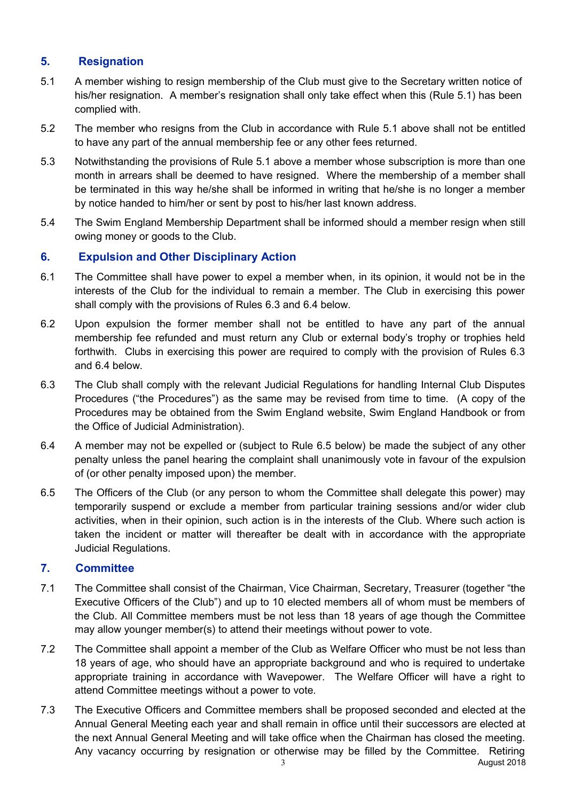# **5. Resignation**

- 5.1 A member wishing to resign membership of the Club must give to the Secretary written notice of his/her resignation. A member's resignation shall only take effect when this (Rule 5.1) has been complied with.
- 5.2 The member who resigns from the Club in accordance with Rule 5.1 above shall not be entitled to have any part of the annual membership fee or any other fees returned.
- 5.3 Notwithstanding the provisions of Rule 5.1 above a member whose subscription is more than one month in arrears shall be deemed to have resigned. Where the membership of a member shall be terminated in this way he/she shall be informed in writing that he/she is no longer a member by notice handed to him/her or sent by post to his/her last known address.
- 5.4 The Swim England Membership Department shall be informed should a member resign when still owing money or goods to the Club.

## **6. Expulsion and Other Disciplinary Action**

- 6.1 The Committee shall have power to expel a member when, in its opinion, it would not be in the interests of the Club for the individual to remain a member. The Club in exercising this power shall comply with the provisions of Rules 6.3 and 6.4 below.
- 6.2 Upon expulsion the former member shall not be entitled to have any part of the annual membership fee refunded and must return any Club or external body's trophy or trophies held forthwith. Clubs in exercising this power are required to comply with the provision of Rules 6.3 and 6.4 below.
- 6.3 The Club shall comply with the relevant Judicial Regulations for handling Internal Club Disputes Procedures ("the Procedures") as the same may be revised from time to time. (A copy of the Procedures may be obtained from the Swim England website, Swim England Handbook or from the Office of Judicial Administration).
- 6.4 A member may not be expelled or (subject to Rule 6.5 below) be made the subject of any other penalty unless the panel hearing the complaint shall unanimously vote in favour of the expulsion of (or other penalty imposed upon) the member.
- 6.5 The Officers of the Club (or any person to whom the Committee shall delegate this power) may temporarily suspend or exclude a member from particular training sessions and/or wider club activities, when in their opinion, such action is in the interests of the Club. Where such action is taken the incident or matter will thereafter be dealt with in accordance with the appropriate Judicial Regulations.

### **7. Committee**

- 7.1 The Committee shall consist of the Chairman, Vice Chairman, Secretary, Treasurer (together "the Executive Officers of the Club") and up to 10 elected members all of whom must be members of the Club. All Committee members must be not less than 18 years of age though the Committee may allow younger member(s) to attend their meetings without power to vote.
- 7.2 The Committee shall appoint a member of the Club as Welfare Officer who must be not less than 18 years of age, who should have an appropriate background and who is required to undertake appropriate training in accordance with Wavepower. The Welfare Officer will have a right to attend Committee meetings without a power to vote.
- 7.3 The Executive Officers and Committee members shall be proposed seconded and elected at the Annual General Meeting each year and shall remain in office until their successors are elected at the next Annual General Meeting and will take office when the Chairman has closed the meeting. Any vacancy occurring by resignation or otherwise may be filled by the Committee. Retiring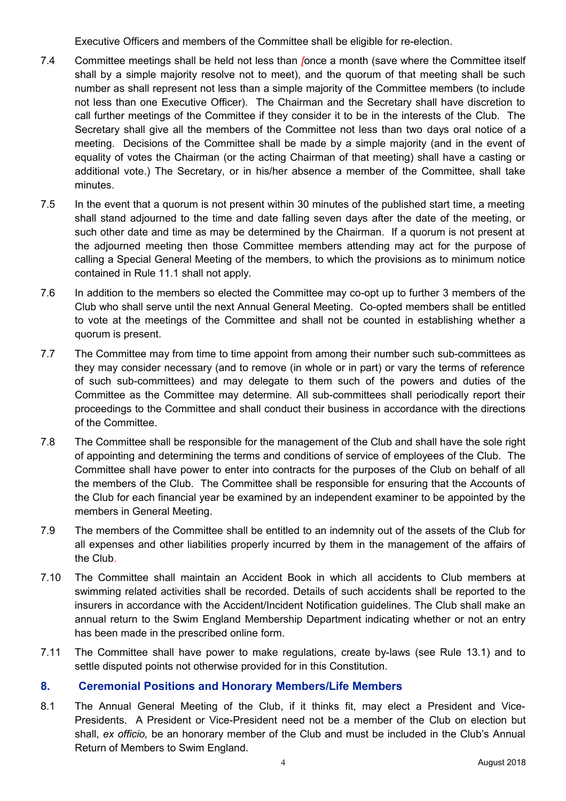Executive Officers and members of the Committee shall be eligible for re-election.

- 7.4 Committee meetings shall be held not less than *[*once a month (save where the Committee itself shall by a simple majority resolve not to meet), and the quorum of that meeting shall be such number as shall represent not less than a simple majority of the Committee members (to include not less than one Executive Officer). The Chairman and the Secretary shall have discretion to call further meetings of the Committee if they consider it to be in the interests of the Club. The Secretary shall give all the members of the Committee not less than two days oral notice of a meeting. Decisions of the Committee shall be made by a simple majority (and in the event of equality of votes the Chairman (or the acting Chairman of that meeting) shall have a casting or additional vote.) The Secretary, or in his/her absence a member of the Committee, shall take minutes.
- 7.5 In the event that a quorum is not present within 30 minutes of the published start time, a meeting shall stand adjourned to the time and date falling seven days after the date of the meeting, or such other date and time as may be determined by the Chairman. If a quorum is not present at the adjourned meeting then those Committee members attending may act for the purpose of calling a Special General Meeting of the members, to which the provisions as to minimum notice contained in Rule 11.1 shall not apply.
- 7.6 In addition to the members so elected the Committee may co-opt up to further 3 members of the Club who shall serve until the next Annual General Meeting. Co-opted members shall be entitled to vote at the meetings of the Committee and shall not be counted in establishing whether a quorum is present.
- 7.7 The Committee may from time to time appoint from among their number such sub-committees as they may consider necessary (and to remove (in whole or in part) or vary the terms of reference of such sub-committees) and may delegate to them such of the powers and duties of the Committee as the Committee may determine. All sub-committees shall periodically report their proceedings to the Committee and shall conduct their business in accordance with the directions of the Committee.
- 7.8 The Committee shall be responsible for the management of the Club and shall have the sole right of appointing and determining the terms and conditions of service of employees of the Club. The Committee shall have power to enter into contracts for the purposes of the Club on behalf of all the members of the Club. The Committee shall be responsible for ensuring that the Accounts of the Club for each financial year be examined by an independent examiner to be appointed by the members in General Meeting.
- 7.9 The members of the Committee shall be entitled to an indemnity out of the assets of the Club for all expenses and other liabilities properly incurred by them in the management of the affairs of the Club.
- 7.10 The Committee shall maintain an Accident Book in which all accidents to Club members at swimming related activities shall be recorded. Details of such accidents shall be reported to the insurers in accordance with the Accident/Incident Notification guidelines. The Club shall make an annual return to the Swim England Membership Department indicating whether or not an entry has been made in the prescribed online form.
- 7.11 The Committee shall have power to make regulations, create by-laws (see Rule 13.1) and to settle disputed points not otherwise provided for in this Constitution.

### **8. Ceremonial Positions and Honorary Members/Life Members**

8.1 The Annual General Meeting of the Club, if it thinks fit, may elect a President and Vice-Presidents. A President or Vice-President need not be a member of the Club on election but shall, *ex officio,* be an honorary member of the Club and must be included in the Club's Annual Return of Members to Swim England.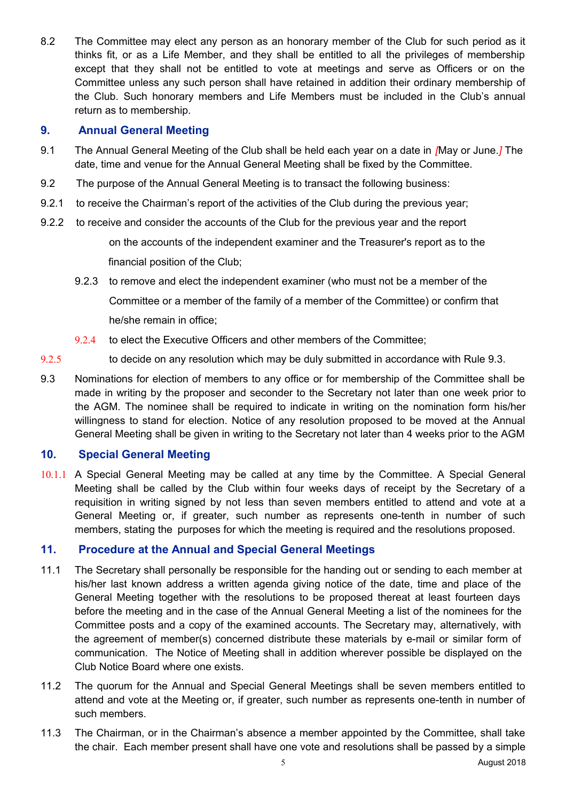8.2 The Committee may elect any person as an honorary member of the Club for such period as it thinks fit, or as a Life Member, and they shall be entitled to all the privileges of membership except that they shall not be entitled to vote at meetings and serve as Officers or on the Committee unless any such person shall have retained in addition their ordinary membership of the Club. Such honorary members and Life Members must be included in the Club's annual return as to membership.

### **9. Annual General Meeting**

- 9.1 The Annual General Meeting of the Club shall be held each year on a date in *[*May or June.*]* The date, time and venue for the Annual General Meeting shall be fixed by the Committee.
- 9.2 The purpose of the Annual General Meeting is to transact the following business:
- 9.2.1 to receive the Chairman's report of the activities of the Club during the previous year;
- 9.2.2 to receive and consider the accounts of the Club for the previous year and the report

on the accounts of the independent examiner and the Treasurer's report as to the financial position of the Club;

- 9.2.3 to remove and elect the independent examiner (who must not be a member of the Committee or a member of the family of a member of the Committee) or confirm that he/she remain in office;
- 9.2.4 to elect the Executive Officers and other members of the Committee:
- 9.2.5 to decide on any resolution which may be duly submitted in accordance with Rule 9.3.
- 9.3 Nominations for election of members to any office or for membership of the Committee shall be made in writing by the proposer and seconder to the Secretary not later than one week prior to the AGM. The nominee shall be required to indicate in writing on the nomination form his/her willingness to stand for election. Notice of any resolution proposed to be moved at the Annual General Meeting shall be given in writing to the Secretary not later than 4 weeks prior to the AGM

### **10. Special General Meeting**

10.1.1 A Special General Meeting may be called at any time by the Committee. A Special General Meeting shall be called by the Club within four weeks days of receipt by the Secretary of a requisition in writing signed by not less than seven members entitled to attend and vote at a General Meeting or, if greater, such number as represents one-tenth in number of such members, stating the purposes for which the meeting is required and the resolutions proposed.

### **11. Procedure at the Annual and Special General Meetings**

- 11.1 The Secretary shall personally be responsible for the handing out or sending to each member at his/her last known address a written agenda giving notice of the date, time and place of the General Meeting together with the resolutions to be proposed thereat at least fourteen days before the meeting and in the case of the Annual General Meeting a list of the nominees for the Committee posts and a copy of the examined accounts. The Secretary may, alternatively, with the agreement of member(s) concerned distribute these materials by e-mail or similar form of communication. The Notice of Meeting shall in addition wherever possible be displayed on the Club Notice Board where one exists.
- 11.2 The quorum for the Annual and Special General Meetings shall be seven members entitled to attend and vote at the Meeting or, if greater, such number as represents one-tenth in number of such members.
- 11.3 The Chairman, or in the Chairman's absence a member appointed by the Committee, shall take the chair. Each member present shall have one vote and resolutions shall be passed by a simple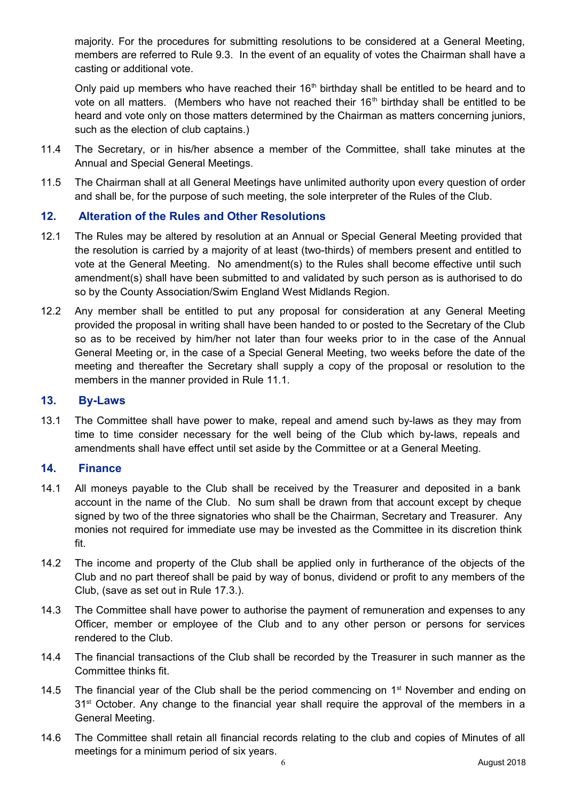majority. For the procedures for submitting resolutions to be considered at a General Meeting, members are referred to Rule 9.3. In the event of an equality of votes the Chairman shall have a casting or additional vote.

Only paid up members who have reached their 16<sup>th</sup> birthday shall be entitled to be heard and to vote on all matters. (Members who have not reached their  $16<sup>th</sup>$  birthday shall be entitled to be heard and vote only on those matters determined by the Chairman as matters concerning juniors, such as the election of club captains.)

- 11.4 The Secretary, or in his/her absence a member of the Committee, shall take minutes at the Annual and Special General Meetings.
- 11.5 The Chairman shall at all General Meetings have unlimited authority upon every question of order and shall be, for the purpose of such meeting, the sole interpreter of the Rules of the Club.

### **12. Alteration of the Rules and Other Resolutions**

- 12.1 The Rules may be altered by resolution at an Annual or Special General Meeting provided that the resolution is carried by a majority of at least (two-thirds) of members present and entitled to vote at the General Meeting. No amendment(s) to the Rules shall become effective until such amendment(s) shall have been submitted to and validated by such person as is authorised to do so by the County Association/Swim England West Midlands Region.
- 12.2 Any member shall be entitled to put any proposal for consideration at any General Meeting provided the proposal in writing shall have been handed to or posted to the Secretary of the Club so as to be received by him/her not later than four weeks prior to in the case of the Annual General Meeting or, in the case of a Special General Meeting, two weeks before the date of the meeting and thereafter the Secretary shall supply a copy of the proposal or resolution to the members in the manner provided in Rule 11.1.

#### **13. By-Laws**

13.1 The Committee shall have power to make, repeal and amend such by-laws as they may from time to time consider necessary for the well being of the Club which by-laws, repeals and amendments shall have effect until set aside by the Committee or at a General Meeting.

#### **14. Finance**

- 14.1 All moneys payable to the Club shall be received by the Treasurer and deposited in a bank account in the name of the Club. No sum shall be drawn from that account except by cheque signed by two of the three signatories who shall be the Chairman, Secretary and Treasurer. Any monies not required for immediate use may be invested as the Committee in its discretion think fit.
- 14.2 The income and property of the Club shall be applied only in furtherance of the objects of the Club and no part thereof shall be paid by way of bonus, dividend or profit to any members of the Club, (save as set out in Rule 17.3.).
- 14.3 The Committee shall have power to authorise the payment of remuneration and expenses to any Officer, member or employee of the Club and to any other person or persons for services rendered to the Club.
- 14.4 The financial transactions of the Club shall be recorded by the Treasurer in such manner as the Committee thinks fit.
- 14.5 The financial year of the Club shall be the period commencing on  $1<sup>st</sup>$  November and ending on 31<sup>st</sup> October. Any change to the financial year shall require the approval of the members in a General Meeting.
- 14.6 The Committee shall retain all financial records relating to the club and copies of Minutes of all meetings for a minimum period of six years.